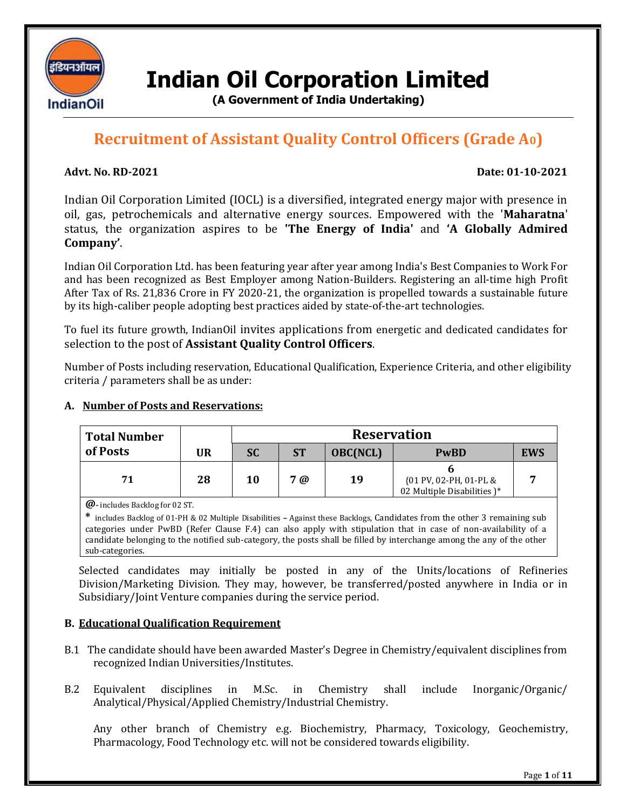

**Indian Oil Corporation Limited**

**(A Government of India Undertaking)**

# **Recruitment of Assistant Quality Control Officers (Grade A0)**

# **Advt. No. RD-2021 Date: 01-10-2021**

Indian Oil Corporation Limited (IOCL) is a diversified, integrated energy major with presence in oil, gas, petrochemicals and alternative energy sources. Empowered with the '**Maharatna**' status, the organization aspires to be **'The Energy of India'** and **'A Globally Admired Company'**.

Indian Oil Corporation Ltd. has been featuring year after year among India's Best Companies to Work For and has been recognized as Best Employer among Nation-Builders. Registering an all-time high Profit After Tax of Rs. 21,836 Crore in FY 2020-21, the organization is propelled towards a sustainable future by its high-caliber people adopting best practices aided by state-of-the-art technologies.

To fuel its future growth, IndianOil invites applications from energetic and dedicated candidates for selection to the post of **Assistant Quality Control Officers**.

Number of Posts including reservation, Educational Qualification, Experience Criteria, and other eligibility criteria / parameters shall be as under:

# **A. Number of Posts and Reservations:**

| <b>Total Number</b> |    | <b>Reservation</b> |           |                 |                                                       |            |
|---------------------|----|--------------------|-----------|-----------------|-------------------------------------------------------|------------|
| of Posts            | UR | <b>SC</b>          | <b>ST</b> | <b>OBC(NCL)</b> | <b>PwBD</b>                                           | <b>EWS</b> |
| 71                  | 28 | 10                 | 7@        | 19              | {01 PV, 02-PH, 01-PL &<br>02 Multiple Disabilities )* |            |

**@-** includes Backlog for 02 ST.

**\*** includes Backlog of 01-PH & 02 Multiple Disabilities **–** Against these Backlogs, Candidates from the other 3 remaining sub categories under PwBD (Refer Clause F.4) can also apply with stipulation that in case of non-availability of a candidate belonging to the notified sub-category, the posts shall be filled by interchange among the any of the other sub-categories.

Selected candidates may initially be posted in any of the Units/locations of Refineries Division/Marketing Division. They may, however, be transferred/posted anywhere in India or in Subsidiary/Joint Venture companies during the service period.

#### **B. Educational Qualification Requirement**

- B.1 The candidate should have been awarded Master's Degree in Chemistry/equivalent disciplines from recognized Indian Universities/Institutes.
- B.2 Equivalent disciplines in M.Sc. in Chemistry shall include Inorganic/Organic/ Analytical/Physical/Applied Chemistry/Industrial Chemistry.

Any other branch of Chemistry e.g. Biochemistry, Pharmacy, Toxicology, Geochemistry, Pharmacology, Food Technology etc. will not be considered towards eligibility.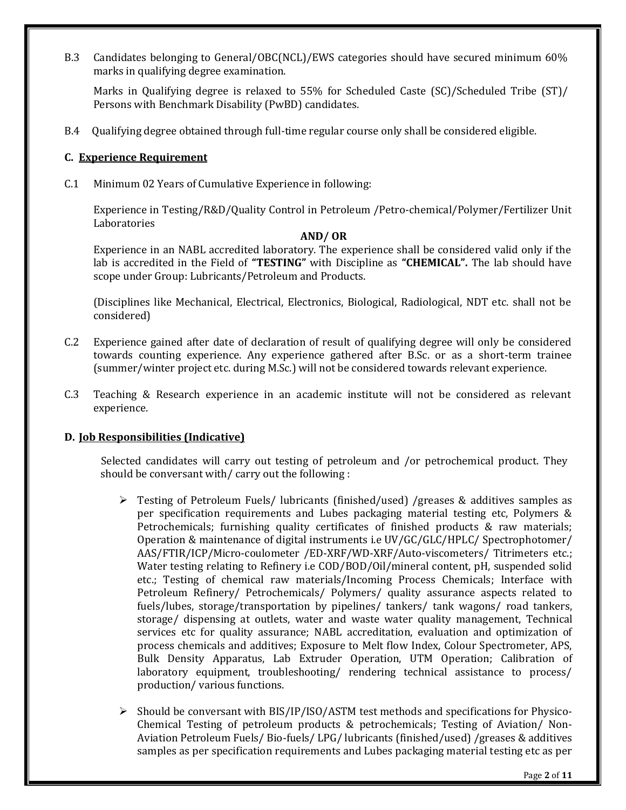B.3 Candidates belonging to General/OBC(NCL)/EWS categories should have secured minimum 60% marks in qualifying degree examination.

Marks in Qualifying degree is relaxed to 55% for Scheduled Caste (SC)/Scheduled Tribe (ST)/ Persons with Benchmark Disability (PwBD) candidates.

B.4 Qualifying degree obtained through full-time regular course only shall be considered eligible.

### **C. Experience Requirement**

C.1 Minimum 02 Years of Cumulative Experience in following:

Experience in Testing/R&D/Quality Control in Petroleum /Petro-chemical/Polymer/Fertilizer Unit Laboratories

## **AND/ OR**

Experience in an NABL accredited laboratory. The experience shall be considered valid only if the lab is accredited in the Field of **"TESTING"** with Discipline as **"CHEMICAL".** The lab should have scope under Group: Lubricants/Petroleum and Products.

(Disciplines like Mechanical, Electrical, Electronics, Biological, Radiological, NDT etc. shall not be considered)

- C.2 Experience gained after date of declaration of result of qualifying degree will only be considered towards counting experience. Any experience gathered after B.Sc. or as a short-term trainee (summer/winter project etc. during M.Sc.) will not be considered towards relevant experience.
- C.3 Teaching & Research experience in an academic institute will not be considered as relevant experience.

#### **D. Job Responsibilities (Indicative)**

Selected candidates will carry out testing of petroleum and /or petrochemical product. They should be conversant with/ carry out the following :

- Testing of Petroleum Fuels/ lubricants (finished/used) /greases & additives samples as per specification requirements and Lubes packaging material testing etc, Polymers & Petrochemicals; furnishing quality certificates of finished products & raw materials; Operation & maintenance of digital instruments i.e UV/GC/GLC/HPLC/ Spectrophotomer/ AAS/FTIR/ICP/Micro-coulometer /ED-XRF/WD-XRF/Auto-viscometers/ Titrimeters etc.; Water testing relating to Refinery i.e COD/BOD/Oil/mineral content, pH, suspended solid etc.; Testing of chemical raw materials/Incoming Process Chemicals; Interface with Petroleum Refinery/ Petrochemicals/ Polymers/ quality assurance aspects related to fuels/lubes, storage/transportation by pipelines/ tankers/ tank wagons/ road tankers, storage/ dispensing at outlets, water and waste water quality management, Technical services etc for quality assurance; NABL accreditation, evaluation and optimization of process chemicals and additives; Exposure to Melt flow Index, Colour Spectrometer, APS, Bulk Density Apparatus, Lab Extruder Operation, UTM Operation; Calibration of laboratory equipment, troubleshooting/ rendering technical assistance to process/ production/ various functions.
- $\triangleright$  Should be conversant with BIS/IP/ISO/ASTM test methods and specifications for Physico-Chemical Testing of petroleum products & petrochemicals; Testing of Aviation/ Non-Aviation Petroleum Fuels/ Bio-fuels/ LPG/ lubricants (finished/used) /greases & additives samples as per specification requirements and Lubes packaging material testing etc as per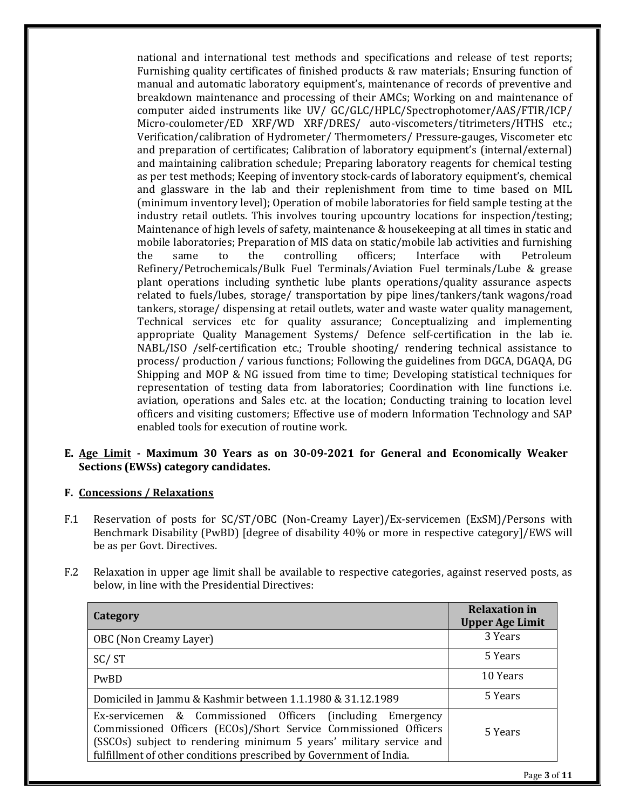national and international test methods and specifications and release of test reports; Furnishing quality certificates of finished products & raw materials; Ensuring function of manual and automatic laboratory equipment's, maintenance of records of preventive and breakdown maintenance and processing of their AMCs; Working on and maintenance of computer aided instruments like UV/ GC/GLC/HPLC/Spectrophotomer/AAS/FTIR/ICP/ Micro-coulometer/ED XRF/WD XRF/DRES/ auto-viscometers/titrimeters/HTHS etc.; Verification/calibration of Hydrometer/ Thermometers/ Pressure-gauges, Viscometer etc and preparation of certificates; Calibration of laboratory equipment's (internal/external) and maintaining calibration schedule; Preparing laboratory reagents for chemical testing as per test methods; Keeping of inventory stock-cards of laboratory equipment's, chemical and glassware in the lab and their replenishment from time to time based on MIL (minimum inventory level); Operation of mobile laboratories for field sample testing at the industry retail outlets. This involves touring upcountry locations for inspection/testing; Maintenance of high levels of safety, maintenance & housekeeping at all times in static and mobile laboratories; Preparation of MIS data on static/mobile lab activities and furnishing the same to the controlling officers; Interface with Petroleum Refinery/Petrochemicals/Bulk Fuel Terminals/Aviation Fuel terminals/Lube & grease plant operations including synthetic lube plants operations/quality assurance aspects related to fuels/lubes, storage/ transportation by pipe lines/tankers/tank wagons/road tankers, storage/ dispensing at retail outlets, water and waste water quality management, Technical services etc for quality assurance; Conceptualizing and implementing appropriate Quality Management Systems/ Defence self-certification in the lab ie. NABL/ISO /self-certification etc.; Trouble shooting/ rendering technical assistance to process/ production / various functions; Following the guidelines from DGCA, DGAQA, DG Shipping and MOP & NG issued from time to time; Developing statistical techniques for representation of testing data from laboratories; Coordination with line functions i.e. aviation, operations and Sales etc. at the location; Conducting training to location level officers and visiting customers; Effective use of modern Information Technology and SAP enabled tools for execution of routine work.

### **E. Age Limit - Maximum 30 Years as on 30-09-2021 for General and Economically Weaker Sections (EWSs) category candidates.**

# **F. Concessions / Relaxations**

- F.1 Reservation of posts for SC/ST/OBC (Non-Creamy Layer)/Ex-servicemen (ExSM)/Persons with Benchmark Disability (PwBD) [degree of disability 40% or more in respective category]/EWS will be as per Govt. Directives.
- F.2 Relaxation in upper age limit shall be available to respective categories, against reserved posts, as below, in line with the Presidential Directives:

| Category                                                                                                                                                                                                                                                                   | <b>Relaxation in</b><br><b>Upper Age Limit</b> |
|----------------------------------------------------------------------------------------------------------------------------------------------------------------------------------------------------------------------------------------------------------------------------|------------------------------------------------|
| OBC (Non Creamy Layer)                                                                                                                                                                                                                                                     | 3 Years                                        |
| SC/ST                                                                                                                                                                                                                                                                      | 5 Years                                        |
| PwBD                                                                                                                                                                                                                                                                       | 10 Years                                       |
| Domiciled in Jammu & Kashmir between 1.1.1980 & 31.12.1989                                                                                                                                                                                                                 | 5 Years                                        |
| Ex-servicemen & Commissioned Officers (including Emergency<br>Commissioned Officers (ECOs)/Short Service Commissioned Officers<br>(SSCOs) subject to rendering minimum 5 years' military service and<br>fulfillment of other conditions prescribed by Government of India. | 5 Years                                        |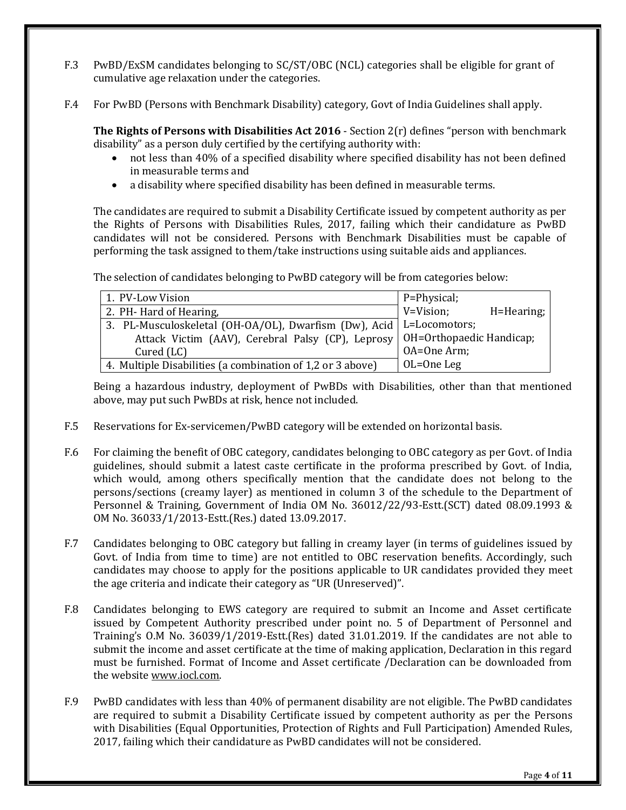- F.3 PwBD/ExSM candidates belonging to SC/ST/OBC (NCL) categories shall be eligible for grant of cumulative age relaxation under the categories.
- F.4 For PwBD (Persons with Benchmark Disability) category, Govt of India Guidelines shall apply.

**The Rights of Persons with Disabilities Act 2016** - Section 2(r) defines "person with benchmark disability" as a person duly certified by the certifying authority with:

- not less than 40% of a specified disability where specified disability has not been defined in measurable terms and
- a disability where specified disability has been defined in measurable terms.

The candidates are required to submit a Disability Certificate issued by competent authority as per the Rights of Persons with Disabilities Rules, 2017, failing which their candidature as PwBD candidates will not be considered. Persons with Benchmark Disabilities must be capable of performing the task assigned to them/take instructions using suitable aids and appliances.

The selection of candidates belonging to PwBD category will be from categories below:

| 1. PV-Low Vision                                                             | $P = Physical;$         |
|------------------------------------------------------------------------------|-------------------------|
| 2. PH-Hard of Hearing,                                                       | V=Vision;<br>H=Hearing; |
| 3. PL-Musculoskeletal (OH-OA/OL), Dwarfism (Dw), Acid   L=Locomotors;        |                         |
| Attack Victim (AAV), Cerebral Palsy (CP), Leprosy   OH=Orthopaedic Handicap; |                         |
| Cured (LC)                                                                   | OA=One Arm;             |
| 4. Multiple Disabilities (a combination of 1,2 or 3 above)                   | $OL=OneLeg$             |

Being a hazardous industry, deployment of PwBDs with Disabilities, other than that mentioned above, may put such PwBDs at risk, hence not included.

- F.5 Reservations for Ex-servicemen/PwBD category will be extended on horizontal basis.
- F.6 For claiming the benefit of OBC category, candidates belonging to OBC category as per Govt. of India guidelines, should submit a latest caste certificate in the proforma prescribed by Govt. of India, which would, among others specifically mention that the candidate does not belong to the persons/sections (creamy layer) as mentioned in column 3 of the schedule to the Department of Personnel & Training, Government of India OM No. 36012/22/93-Estt.(SCT) dated 08.09.1993 & OM No. 36033/1/2013-Estt.(Res.) dated 13.09.2017.
- F.7 Candidates belonging to OBC category but falling in creamy layer (in terms of guidelines issued by Govt. of India from time to time) are not entitled to OBC reservation benefits. Accordingly, such candidates may choose to apply for the positions applicable to UR candidates provided they meet the age criteria and indicate their category as "UR (Unreserved)".
- F.8 Candidates belonging to EWS category are required to submit an Income and Asset certificate issued by Competent Authority prescribed under point no. 5 of Department of Personnel and Training's O.M No. 36039/1/2019-Estt.(Res) dated 31.01.2019. If the candidates are not able to submit the income and asset certificate at the time of making application, Declaration in this regard must be furnished. Format of Income and Asset certificate /Declaration can be downloaded from the website [www.iocl.com.](http://www.iocl.com/)
- F.9 PwBD candidates with less than 40% of permanent disability are not eligible. The PwBD candidates are required to submit a Disability Certificate issued by competent authority as per the Persons with Disabilities (Equal Opportunities, Protection of Rights and Full Participation) Amended Rules, 2017, failing which their candidature as PwBD candidates will not be considered.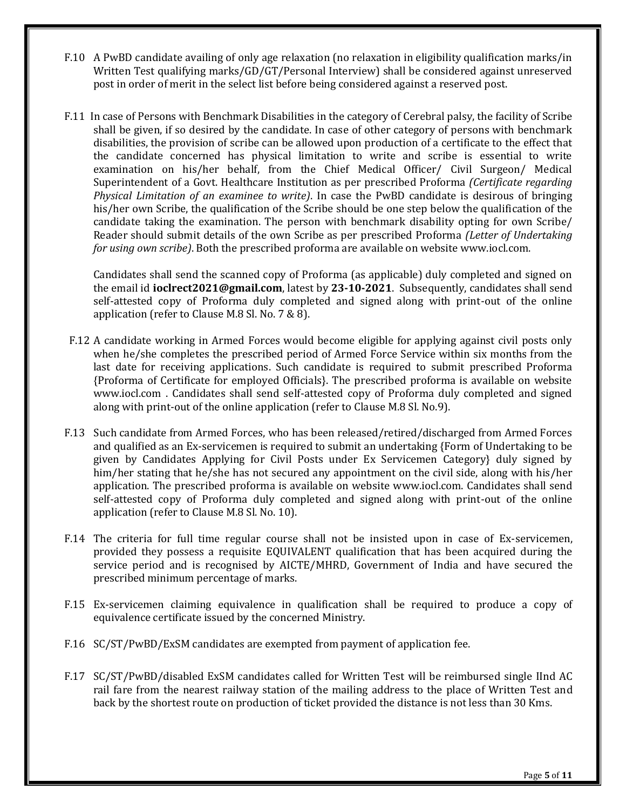- F.10 A PwBD candidate availing of only age relaxation (no relaxation in eligibility qualification marks/in Written Test qualifying marks/GD/GT/Personal Interview) shall be considered against unreserved post in order of merit in the select list before being considered against a reserved post.
- F.11 In case of Persons with Benchmark Disabilities in the category of Cerebral palsy, the facility of Scribe shall be given, if so desired by the candidate. In case of other category of persons with benchmark disabilities, the provision of scribe can be allowed upon production of a certificate to the effect that the candidate concerned has physical limitation to write and scribe is essential to write examination on his/her behalf, from the Chief Medical Officer/ Civil Surgeon/ Medical Superintendent of a Govt. Healthcare Institution as per prescribed Proforma *(Certificate regarding Physical Limitation of an examinee to write)*. In case the PwBD candidate is desirous of bringing his/her own Scribe, the qualification of the Scribe should be one step below the qualification of the candidate taking the examination. The person with benchmark disability opting for own Scribe/ Reader should submit details of the own Scribe as per prescribed Proforma *(Letter of Undertaking for using own scribe)*. Both the prescribed proforma are available on websit[e www.iocl.com.](http://www.iocl.com/)

Candidates shall send the scanned copy of Proforma (as applicable) duly completed and signed on the email id **[ioclrect2021@gmail.com](mailto:ioclrect2021@gmail.com)**, latest by **23-10-2021**. Subsequently, candidates shall send self-attested copy of Proforma duly completed and signed along with print-out of the online application (refer to Clause M.8 Sl. No. 7 & 8).

- F.12 A candidate working in Armed Forces would become eligible for applying against civil posts only when he/she completes the prescribed period of Armed Force Service within six months from the last date for receiving applications. Such candidate is required to submit prescribed Proforma {Proforma of Certificate for employed Officials}. The prescribed proforma is available on website [www.iocl.com](http://www.iocl.com/) . Candidates shall send self-attested copy of Proforma duly completed and signed along with print-out of the online application (refer to Clause M.8 Sl. No.9).
- F.13 Such candidate from Armed Forces, who has been released/retired/discharged from Armed Forces and qualified as an Ex-servicemen is required to submit an undertaking {Form of Undertaking to be given by Candidates Applying for Civil Posts under Ex Servicemen Category} duly signed by him/her stating that he/she has not secured any appointment on the civil side, along with his/her application. The prescribed proforma is available on website [www.iocl.com.](http://www.iocl.com/) Candidates shall send self-attested copy of Proforma duly completed and signed along with print-out of the online application (refer to Clause M.8 Sl. No. 10).
- F.14 The criteria for full time regular course shall not be insisted upon in case of Ex-servicemen, provided they possess a requisite EQUIVALENT qualification that has been acquired during the service period and is recognised by AICTE/MHRD, Government of India and have secured the prescribed minimum percentage of marks.
- F.15 Ex-servicemen claiming equivalence in qualification shall be required to produce a copy of equivalence certificate issued by the concerned Ministry.
- F.16 SC/ST/PwBD/ExSM candidates are exempted from payment of application fee.
- F.17 SC/ST/PwBD/disabled ExSM candidates called for Written Test will be reimbursed single IInd AC rail fare from the nearest railway station of the mailing address to the place of Written Test and back by the shortest route on production of ticket provided the distance is not less than 30 Kms.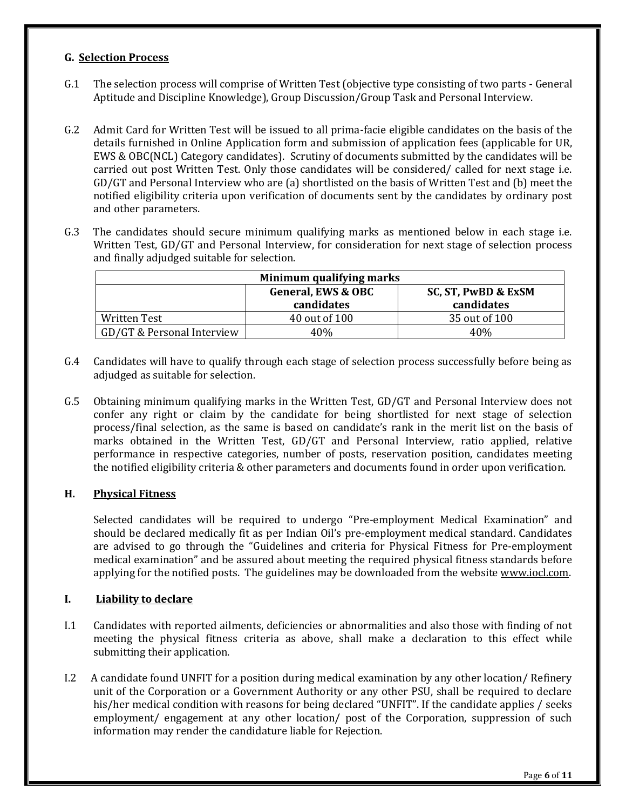#### **G. Selection Process**

- G.1 The selection process will comprise of Written Test (objective type consisting of two parts General Aptitude and Discipline Knowledge), Group Discussion/Group Task and Personal Interview.
- G.2 Admit Card for Written Test will be issued to all prima-facie eligible candidates on the basis of the details furnished in Online Application form and submission of application fees (applicable for UR, EWS & OBC(NCL) Category candidates). Scrutiny of documents submitted by the candidates will be carried out post Written Test. Only those candidates will be considered/ called for next stage i.e. GD/GT and Personal Interview who are (a) shortlisted on the basis of Written Test and (b) meet the notified eligibility criteria upon verification of documents sent by the candidates by ordinary post and other parameters.
- G.3 The candidates should secure minimum qualifying marks as mentioned below in each stage i.e. Written Test, GD/GT and Personal Interview, for consideration for next stage of selection process and finally adjudged suitable for selection.

| Minimum qualifying marks   |                               |                     |  |
|----------------------------|-------------------------------|---------------------|--|
|                            | <b>General, EWS &amp; OBC</b> | SC, ST, PwBD & ExSM |  |
|                            | candidates                    | candidates          |  |
| Written Test               | 40 out of 100                 | 35 out of 100       |  |
| GD/GT & Personal Interview | 40%                           | 40%                 |  |

- G.4 Candidates will have to qualify through each stage of selection process successfully before being as adjudged as suitable for selection.
- G.5 Obtaining minimum qualifying marks in the Written Test, GD/GT and Personal Interview does not confer any right or claim by the candidate for being shortlisted for next stage of selection process/final selection, as the same is based on candidate's rank in the merit list on the basis of marks obtained in the Written Test, GD/GT and Personal Interview, ratio applied, relative performance in respective categories, number of posts, reservation position, candidates meeting the notified eligibility criteria & other parameters and documents found in order upon verification.

# **H. Physical Fitness**

Selected candidates will be required to undergo "Pre-employment Medical Examination" and should be declared medically fit as per Indian Oil's pre-employment medical standard. Candidates are advised to go through the "Guidelines and criteria for Physical Fitness for Pre-employment medical examination" and be assured about meeting the required physical fitness standards before applying for the notified posts. The guidelines may be downloaded from the website www.jocl.com.

# **I. Liability to declare**

- I.1 Candidates with reported ailments, deficiencies or abnormalities and also those with finding of not meeting the physical fitness criteria as above, shall make a declaration to this effect while submitting their application.
- I.2 A candidate found UNFIT for a position during medical examination by any other location/ Refinery unit of the Corporation or a Government Authority or any other PSU, shall be required to declare his/her medical condition with reasons for being declared "UNFIT". If the candidate applies / seeks employment/ engagement at any other location/ post of the Corporation, suppression of such information may render the candidature liable for Rejection.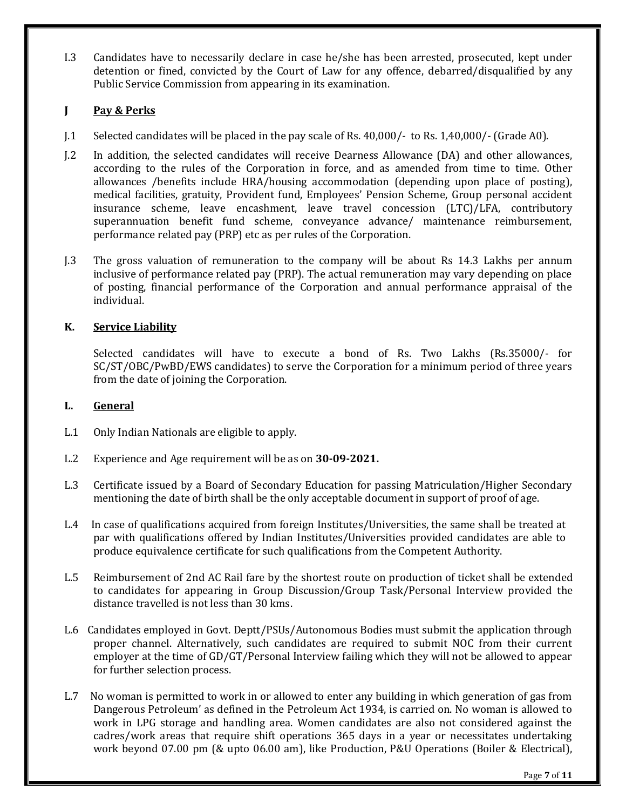I.3 Candidates have to necessarily declare in case he/she has been arrested, prosecuted, kept under detention or fined, convicted by the Court of Law for any offence, debarred/disqualified by any Public Service Commission from appearing in its examination.

# **J Pay & Perks**

- J.1 Selected candidates will be placed in the pay scale of Rs. 40,000/- to Rs. 1,40,000/- (Grade A0).
- J.2 In addition, the selected candidates will receive Dearness Allowance (DA) and other allowances, according to the rules of the Corporation in force, and as amended from time to time. Other allowances /benefits include HRA/housing accommodation (depending upon place of posting), medical facilities, gratuity, Provident fund, Employees' Pension Scheme, Group personal accident insurance scheme, leave encashment, leave travel concession (LTC)/LFA, contributory superannuation benefit fund scheme, conveyance advance/ maintenance reimbursement, performance related pay (PRP) etc as per rules of the Corporation.
- J.3 The gross valuation of remuneration to the company will be about Rs 14.3 Lakhs per annum inclusive of performance related pay (PRP). The actual remuneration may vary depending on place of posting, financial performance of the Corporation and annual performance appraisal of the individual.

# **K. Service Liability**

Selected candidates will have to execute a bond of Rs. Two Lakhs (Rs.35000/- for SC/ST/OBC/PwBD/EWS candidates) to serve the Corporation for a minimum period of three years from the date of joining the Corporation.

# **L. General**

- L.1 Only Indian Nationals are eligible to apply.
- L.2 Experience and Age requirement will be as on **30-09-2021.**
- L.3 Certificate issued by a Board of Secondary Education for passing Matriculation/Higher Secondary mentioning the date of birth shall be the only acceptable document in support of proof of age.
- L.4 In case of qualifications acquired from foreign Institutes/Universities, the same shall be treated at par with qualifications offered by Indian Institutes/Universities provided candidates are able to produce equivalence certificate for such qualifications from the Competent Authority.
- L.5 Reimbursement of 2nd AC Rail fare by the shortest route on production of ticket shall be extended to candidates for appearing in Group Discussion/Group Task/Personal Interview provided the distance travelled is not less than 30 kms.
- L.6 Candidates employed in Govt. Deptt/PSUs/Autonomous Bodies must submit the application through proper channel. Alternatively, such candidates are required to submit NOC from their current employer at the time of GD/GT/Personal Interview failing which they will not be allowed to appear for further selection process.
- L.7 No woman is permitted to work in or allowed to enter any building in which generation of gas from Dangerous Petroleum' as defined in the Petroleum Act 1934, is carried on. No woman is allowed to work in LPG storage and handling area. Women candidates are also not considered against the cadres/work areas that require shift operations 365 days in a year or necessitates undertaking work beyond 07.00 pm (& upto 06.00 am), like Production, P&U Operations (Boiler & Electrical),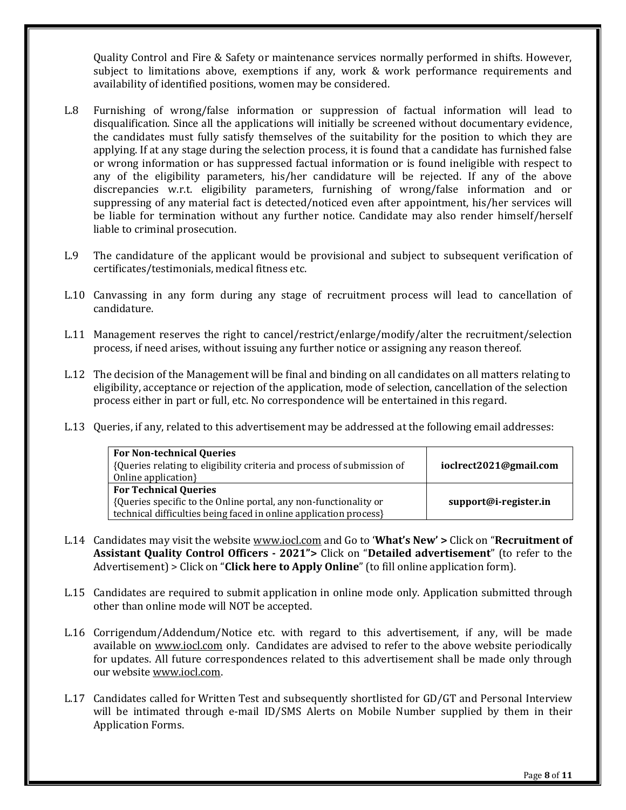Quality Control and Fire & Safety or maintenance services normally performed in shifts. However, subject to limitations above, exemptions if any, work & work performance requirements and availability of identified positions, women may be considered.

- L.8 Furnishing of wrong/false information or suppression of factual information will lead to disqualification. Since all the applications will initially be screened without documentary evidence, the candidates must fully satisfy themselves of the suitability for the position to which they are applying. If at any stage during the selection process, it is found that a candidate has furnished false or wrong information or has suppressed factual information or is found ineligible with respect to any of the eligibility parameters, his/her candidature will be rejected. If any of the above discrepancies w.r.t. eligibility parameters, furnishing of wrong/false information and or suppressing of any material fact is detected/noticed even after appointment, his/her services will be liable for termination without any further notice. Candidate may also render himself/herself liable to criminal prosecution.
- L.9 The candidature of the applicant would be provisional and subject to subsequent verification of certificates/testimonials, medical fitness etc.
- L.10 Canvassing in any form during any stage of recruitment process will lead to cancellation of candidature.
- L.11 Management reserves the right to cancel/restrict/enlarge/modify/alter the recruitment/selection process, if need arises, without issuing any further notice or assigning any reason thereof.
- L.12 The decision of the Management will be final and binding on all candidates on all matters relating to eligibility, acceptance or rejection of the application, mode of selection, cancellation of the selection process either in part or full, etc. No correspondence will be entertained in this regard.
- L.13 Queries, if any, related to this advertisement may be addressed at the following email addresses:

| <b>For Technical Queries</b><br>{Queries specific to the Online portal, any non-functionality or<br>technical difficulties being faced in online application process} | support@i-register.in |
|-----------------------------------------------------------------------------------------------------------------------------------------------------------------------|-----------------------|

- L.14 Candidates may visit the website [www.iocl.com](http://www.iocl.com/) and Go to '**What's New' >** Click on "**Recruitment of Assistant Quality Control Officers - 2021">** Click on "**Detailed advertisement**" (to refer to the Advertisement) > Click on "**Click here to Apply Online**" (to fill online application form).
- L.15 Candidates are required to submit application in online mode only. Application submitted through other than online mode will NOT be accepted.
- L.16 Corrigendum/Addendum/Notice etc. with regard to this advertisement, if any, will be made available on [www.iocl.com](http://www.iocl.com/) only. Candidates are advised to refer to the above website periodically for updates. All future correspondences related to this advertisement shall be made only through our websit[e www.iocl.com.](http://www.iocl.com/)
- L.17 Candidates called for Written Test and subsequently shortlisted for GD/GT and Personal Interview will be intimated through e-mail ID/SMS Alerts on Mobile Number supplied by them in their Application Forms.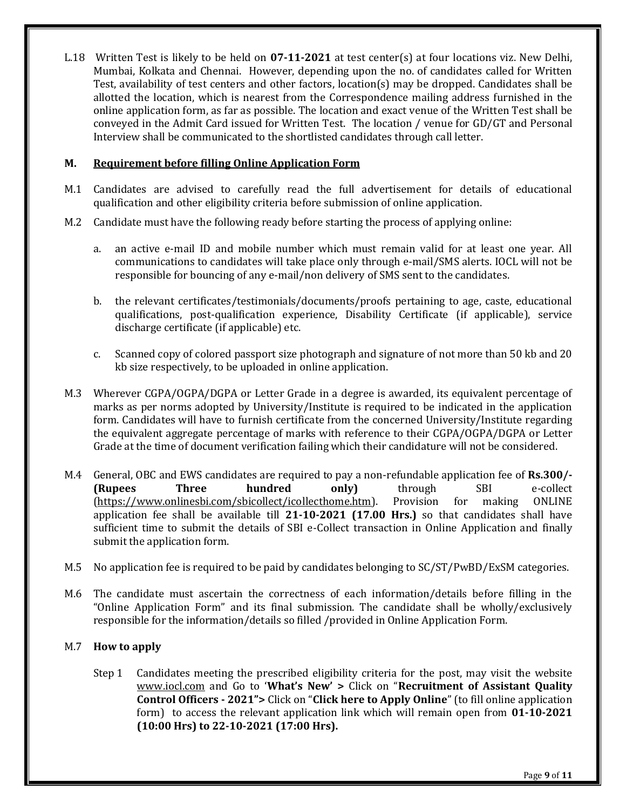L.18 Written Test is likely to be held on **07-11-2021** at test center(s) at four locations viz. New Delhi, Mumbai, Kolkata and Chennai. However, depending upon the no. of candidates called for Written Test, availability of test centers and other factors, location(s) may be dropped. Candidates shall be allotted the location, which is nearest from the Correspondence mailing address furnished in the online application form, as far as possible. The location and exact venue of the Written Test shall be conveyed in the Admit Card issued for Written Test. The location / venue for GD/GT and Personal Interview shall be communicated to the shortlisted candidates through call letter.

## **M. Requirement before filling Online Application Form**

- M.1 Candidates are advised to carefully read the full advertisement for details of educational qualification and other eligibility criteria before submission of online application.
- M.2 Candidate must have the following ready before starting the process of applying online:
	- a. an active e-mail ID and mobile number which must remain valid for at least one year. All communications to candidates will take place only through e-mail/SMS alerts. IOCL will not be responsible for bouncing of any e-mail/non delivery of SMS sent to the candidates.
	- b. the relevant certificates/testimonials/documents/proofs pertaining to age, caste, educational qualifications, post-qualification experience, Disability Certificate (if applicable), service discharge certificate (if applicable) etc.
	- c. Scanned copy of colored passport size photograph and signature of not more than 50 kb and 20 kb size respectively, to be uploaded in online application.
- M.3 Wherever CGPA/OGPA/DGPA or Letter Grade in a degree is awarded, its equivalent percentage of marks as per norms adopted by University/Institute is required to be indicated in the application form. Candidates will have to furnish certificate from the concerned University/Institute regarding the equivalent aggregate percentage of marks with reference to their CGPA/OGPA/DGPA or Letter Grade at the time of document verification failing which their candidature will not be considered.
- M.4 General, OBC and EWS candidates are required to pay a non-refundable application fee of **Rs.300/- (Rupees Three hundred only)** through SBI e-collect [\(https://www.onlinesbi.com/sbicollect/icollecthome.htm\)](https://www.onlinesbi.com/sbicollect/icollecthome.htm). Provision for making ONLINE application fee shall be available till **21-10-2021 (17.00 Hrs.)** so that candidates shall have sufficient time to submit the details of SBI e-Collect transaction in Online Application and finally submit the application form.
- M.5 No application fee is required to be paid by candidates belonging to SC/ST/PwBD/ExSM categories.
- M.6 The candidate must ascertain the correctness of each information/details before filling in the "Online Application Form" and its final submission. The candidate shall be wholly/exclusively responsible for the information/details so filled /provided in Online Application Form.

#### M.7 **How to apply**

Step 1 Candidates meeting the prescribed eligibility criteria for the post, may visit the website [www.iocl.com](http://www.iocl.com/) and Go to '**What's New' >** Click on "**Recruitment of Assistant Quality Control Officers - 2021">** Click on "**Click here to Apply Online**" (to fill online application form) to access the relevant application link which will remain open from **01-10-2021 (10:00 Hrs) to 22-10-2021 (17:00 Hrs).**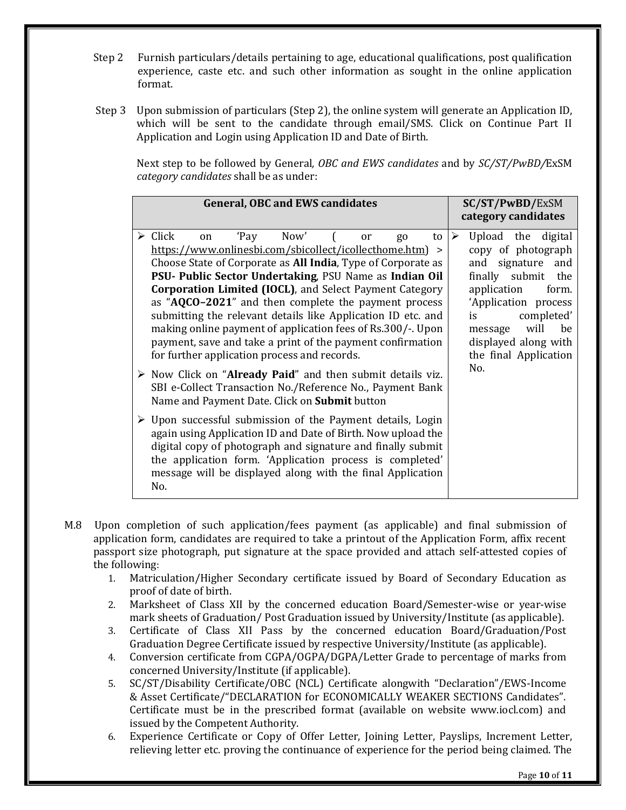- Step 2 Furnish particulars/details pertaining to age, educational qualifications, post qualification experience, caste etc. and such other information as sought in the online application format.
- Step 3 Upon submission of particulars (Step 2), the online system will generate an Application ID, which will be sent to the candidate through email/SMS. Click on Continue Part II Application and Login using Application ID and Date of Birth.

Next step to be followed by General*, OBC and EWS candidates* and by *SC/ST/PwBD/*ExSM *category candidates* shall be as under:

| <b>General, OBC and EWS candidates</b>                                                                                                                                                                                                                                                                                                                                                                                                                                                                                                                                                                                                           | SC/ST/PwBD/ExSM<br>category candidates                                                                                                                                                                                                                                  |  |  |
|--------------------------------------------------------------------------------------------------------------------------------------------------------------------------------------------------------------------------------------------------------------------------------------------------------------------------------------------------------------------------------------------------------------------------------------------------------------------------------------------------------------------------------------------------------------------------------------------------------------------------------------------------|-------------------------------------------------------------------------------------------------------------------------------------------------------------------------------------------------------------------------------------------------------------------------|--|--|
| 'Pay Now'<br>$\triangleright$ Click<br>to<br>on<br><sub>or</sub><br>g <sub>0</sub><br>https://www.onlinesbi.com/sbicollect/icollecthome.htm) ><br>Choose State of Corporate as All India, Type of Corporate as<br>PSU- Public Sector Undertaking, PSU Name as Indian Oil<br><b>Corporation Limited (IOCL)</b> , and Select Payment Category<br>as "AQCO-2021" and then complete the payment process<br>submitting the relevant details like Application ID etc. and<br>making online payment of application fees of Rs.300/-. Upon<br>payment, save and take a print of the payment confirmation<br>for further application process and records. | Upload the digital<br>$\blacktriangleright$<br>copy of photograph<br>signature<br>and<br>and<br>finally submit the<br>application<br>form.<br>'Application process<br>completed'<br>is<br>will<br>be<br>message<br>displayed along with<br>the final Application<br>No. |  |  |
| $\triangleright$ Now Click on "Already Paid" and then submit details viz.<br>SBI e-Collect Transaction No./Reference No., Payment Bank<br>Name and Payment Date. Click on <b>Submit</b> button                                                                                                                                                                                                                                                                                                                                                                                                                                                   |                                                                                                                                                                                                                                                                         |  |  |
| $\triangleright$ Upon successful submission of the Payment details, Login<br>again using Application ID and Date of Birth. Now upload the<br>digital copy of photograph and signature and finally submit<br>the application form. 'Application process is completed'<br>message will be displayed along with the final Application<br>No.                                                                                                                                                                                                                                                                                                        |                                                                                                                                                                                                                                                                         |  |  |

- M.8 Upon completion of such application/fees payment (as applicable) and final submission of application form, candidates are required to take a printout of the Application Form, affix recent passport size photograph, put signature at the space provided and attach self-attested copies of the following:
	- 1. Matriculation/Higher Secondary certificate issued by Board of Secondary Education as proof of date of birth.
	- 2. Marksheet of Class XII by the concerned education Board/Semester-wise or year-wise mark sheets of Graduation/ Post Graduation issued by University/Institute (as applicable).
	- 3. Certificate of Class XII Pass by the concerned education Board/Graduation/Post Graduation Degree Certificate issued by respective University/Institute (as applicable).
	- 4. Conversion certificate from CGPA/OGPA/DGPA/Letter Grade to percentage of marks from concerned University/Institute (if applicable).
	- 5. SC/ST/Disability Certificate/OBC (NCL) Certificate alongwith "Declaration"/EWS-Income & Asset Certificate/"DECLARATION for ECONOMICALLY WEAKER SECTIONS Candidates". Certificate must be in the prescribed format (available on website www.iocl.com) and issued by the Competent Authority.
	- 6. Experience Certificate or Copy of Offer Letter, Joining Letter, Payslips, Increment Letter, relieving letter etc. proving the continuance of experience for the period being claimed. The